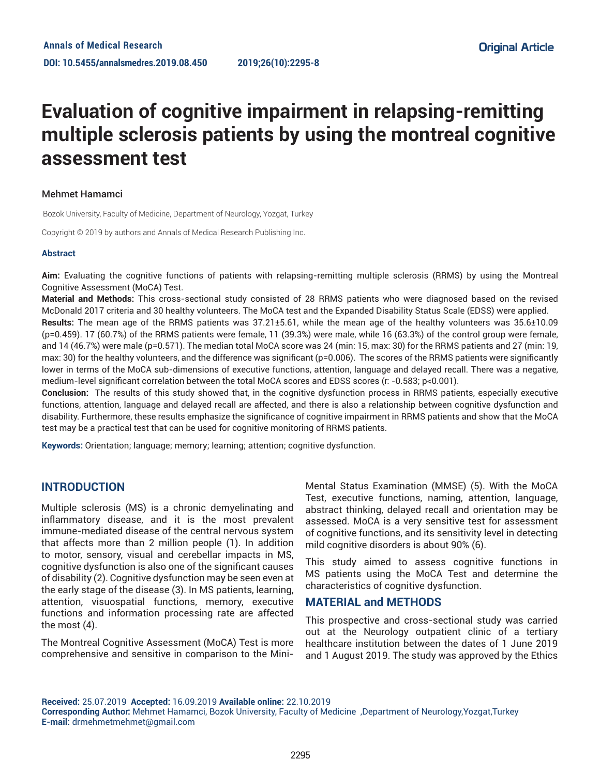# **Evaluation of cognitive impairment in relapsing-remitting multiple sclerosis patients by using the montreal cognitive assessment test**

## Mehmet Hamamci

Bozok University, Faculty of Medicine, Department of Neurology, Yozgat, Turkey

Copyright © 2019 by authors and Annals of Medical Research Publishing Inc.

### **Abstract**

**Aim:** Evaluating the cognitive functions of patients with relapsing-remitting multiple sclerosis (RRMS) by using the Montreal Cognitive Assessment (MoCA) Test.

**Material and Methods:** This cross-sectional study consisted of 28 RRMS patients who were diagnosed based on the revised McDonald 2017 criteria and 30 healthy volunteers. The MoCA test and the Expanded Disability Status Scale (EDSS) were applied.

**Results:** The mean age of the RRMS patients was 37.21±5.61, while the mean age of the healthy volunteers was 35.6±10.09 (p=0.459). 17 (60.7%) of the RRMS patients were female, 11 (39.3%) were male, while 16 (63.3%) of the control group were female, and 14 (46.7%) were male (p=0.571). The median total MoCA score was 24 (min: 15, max: 30) for the RRMS patients and 27 (min: 19, max: 30) for the healthy volunteers, and the difference was significant (p=0.006). The scores of the RRMS patients were significantly lower in terms of the MoCA sub-dimensions of executive functions, attention, language and delayed recall. There was a negative, medium-level significant correlation between the total MoCA scores and EDSS scores (r: -0.583; p<0.001).

**Conclusion:** The results of this study showed that, in the cognitive dysfunction process in RRMS patients, especially executive functions, attention, language and delayed recall are affected, and there is also a relationship between cognitive dysfunction and disability. Furthermore, these results emphasize the significance of cognitive impairment in RRMS patients and show that the MoCA test may be a practical test that can be used for cognitive monitoring of RRMS patients.

**Keywords:** Orientation; language; memory; learning; attention; cognitive dysfunction.

## **INTRODUCTION**

Multiple sclerosis (MS) is a chronic demyelinating and inflammatory disease, and it is the most prevalent immune-mediated disease of the central nervous system that affects more than 2 million people (1). In addition to motor, sensory, visual and cerebellar impacts in MS, cognitive dysfunction is also one of the significant causes of disability (2). Cognitive dysfunction may be seen even at the early stage of the disease (3). In MS patients, learning, attention, visuospatial functions, memory, executive functions and information processing rate are affected the most (4).

The Montreal Cognitive Assessment (MoCA) Test is more comprehensive and sensitive in comparison to the MiniMental Status Examination (MMSE) (5). With the MoCA Test, executive functions, naming, attention, language, abstract thinking, delayed recall and orientation may be assessed. MoCA is a very sensitive test for assessment of cognitive functions, and its sensitivity level in detecting mild cognitive disorders is about 90% (6).

This study aimed to assess cognitive functions in MS patients using the MoCA Test and determine the characteristics of cognitive dysfunction.

## **MATERIAL and METHODS**

This prospective and cross-sectional study was carried out at the Neurology outpatient clinic of a tertiary healthcare institution between the dates of 1 June 2019 and 1 August 2019. The study was approved by the Ethics

**Received:** 25.07.2019 **Accepted:** 16.09.2019 **Available online:** 22.10.2019 **Corresponding Author:** Mehmet Hamamci, Bozok University, Faculty of Medicine ,Department of Neurology,Yozgat,Turkey **E-mail:** drmehmetmehmet@gmail.com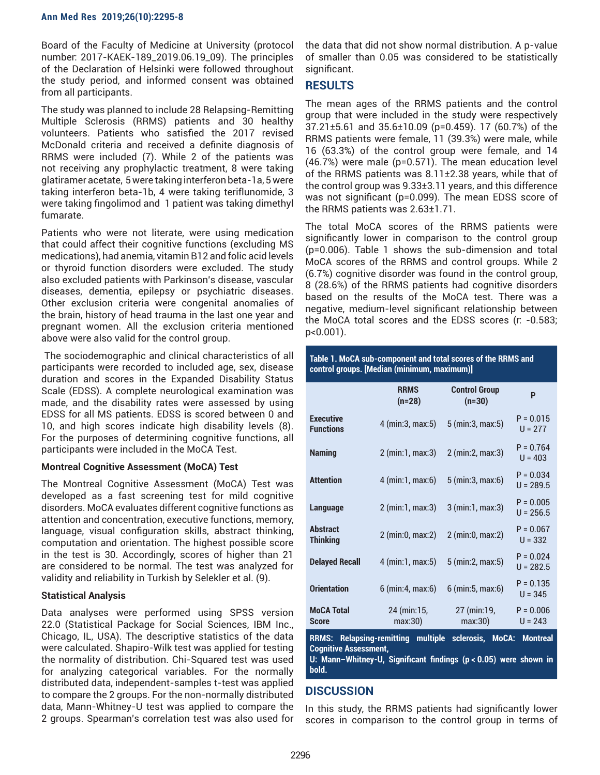## **Ann Med Res 2019;26(10):2295-8**

Board of the Faculty of Medicine at University (protocol number: 2017-KAEK-189\_2019.06.19\_09). The principles of the Declaration of Helsinki were followed throughout the study period, and informed consent was obtained from all participants.

The study was planned to include 28 Relapsing-Remitting Multiple Sclerosis (RRMS) patients and 30 healthy volunteers. Patients who satisfied the 2017 revised McDonald criteria and received a definite diagnosis of RRMS were included (7). While 2 of the patients was not receiving any prophylactic treatment, 8 were taking glatiramer acetate, 5 were taking interferon beta-1a, 5 were taking interferon beta-1b, 4 were taking teriflunomide, 3 were taking fingolimod and 1 patient was taking dimethyl fumarate.

Patients who were not literate, were using medication that could affect their cognitive functions (excluding MS medications), had anemia, vitamin B12 and folic acid levels or thyroid function disorders were excluded. The study also excluded patients with Parkinson's disease, vascular diseases, dementia, epilepsy or psychiatric diseases. Other exclusion criteria were congenital anomalies of the brain, history of head trauma in the last one year and pregnant women. All the exclusion criteria mentioned above were also valid for the control group.

 The sociodemographic and clinical characteristics of all participants were recorded to included age, sex, disease duration and scores in the Expanded Disability Status Scale (EDSS). A complete neurological examination was made, and the disability rates were assessed by using EDSS for all MS patients. EDSS is scored between 0 and 10, and high scores indicate high disability levels (8). For the purposes of determining cognitive functions, all participants were included in the MoCA Test.

## **Montreal Cognitive Assessment (MoCA) Test**

The Montreal Cognitive Assessment (MoCA) Test was developed as a fast screening test for mild cognitive disorders. MoCA evaluates different cognitive functions as attention and concentration, executive functions, memory, language, visual configuration skills, abstract thinking, computation and orientation. The highest possible score in the test is 30. Accordingly, scores of higher than 21 are considered to be normal. The test was analyzed for validity and reliability in Turkish by Selekler et al. (9).

## **Statistical Analysis**

Data analyses were performed using SPSS version 22.0 (Statistical Package for Social Sciences, IBM Inc., Chicago, IL, USA). The descriptive statistics of the data were calculated. Shapiro-Wilk test was applied for testing the normality of distribution. Chi-Squared test was used for analyzing categorical variables. For the normally distributed data, independent-samples t-test was applied to compare the 2 groups. For the non-normally distributed data, Mann-Whitney-U test was applied to compare the 2 groups. Spearman's correlation test was also used for

the data that did not show normal distribution. A p-value of smaller than 0.05 was considered to be statistically significant.

# **RESULTS**

The mean ages of the RRMS patients and the control group that were included in the study were respectively 37.21±5.61 and 35.6±10.09 (p=0.459). 17 (60.7%) of the RRMS patients were female, 11 (39.3%) were male, while 16 (63.3%) of the control group were female, and 14 (46.7%) were male (p=0.571). The mean education level of the RRMS patients was 8.11±2.38 years, while that of the control group was 9.33±3.11 years, and this difference was not significant (p=0.099). The mean EDSS score of the RRMS patients was 2.63±1.71.

The total MoCA scores of the RRMS patients were significantly lower in comparison to the control group (p=0.006). Table 1 shows the sub-dimension and total MoCA scores of the RRMS and control groups. While 2 (6.7%) cognitive disorder was found in the control group, 8 (28.6%) of the RRMS patients had cognitive disorders based on the results of the MoCA test. There was a negative, medium-level significant relationship between the MoCA total scores and the EDSS scores (r: -0.583; p<0.001).

## **Table 1. MoCA sub-component and total scores of the RRMS and control groups. [Median (minimum, maximum)]**

|                                                                                                                        | <b>RRMS</b><br>$(n=28)$ | <b>Control Group</b><br>$(n=30)$ | P                          |
|------------------------------------------------------------------------------------------------------------------------|-------------------------|----------------------------------|----------------------------|
| <b>Executive</b><br><b>Functions</b>                                                                                   | 4 (min: 3, max: 5)      | 5 (min: 3, max: 5)               | $P = 0.015$<br>$U = 277$   |
| <b>Naming</b>                                                                                                          | $2 \, (min:1, max:3)$   | 2 (min: 2, max: 3)               | $P = 0.764$<br>$U = 403$   |
| <b>Attention</b>                                                                                                       | 4 (min:1, max:6)        | 5 (min: 3, max: 6)               | $P = 0.034$<br>$U = 289.5$ |
| <b>Language</b>                                                                                                        | 2 (min:1, max:3)        | 3 (min:1, max:3)                 | $P = 0.005$<br>$U = 256.5$ |
| <b>Abstract</b><br><b>Thinking</b>                                                                                     | 2 (min:0, max:2)        | 2 (min:0, max:2)                 | $P = 0.067$<br>$U = 332$   |
| <b>Delayed Recall</b>                                                                                                  | 4 (min:1, max:5)        | 5 (min: 2, max: 5)               | $P = 0.024$<br>$U = 282.5$ |
| <b>Orientation</b>                                                                                                     | 6 (min: 4, max: 6)      | 6 (min: 5, max: 6)               | $P = 0.135$<br>$U = 345$   |
| <b>MoCA Total</b><br><b>Score</b>                                                                                      | 24 (min:15,<br>max:30)  | 27 (min:19,<br>max:30)           | $P = 0.006$<br>$U = 243$   |
| <b>RRMS: Relapsing-remitting</b><br>multiple<br>sclerosis.<br>MoCA:<br><b>Montreal</b><br><b>Cognitive Assessment,</b> |                         |                                  |                            |

**U: Mann–Whitney-U, Significant findings (p < 0.05) were shown in bold.**

# **DISCUSSION**

In this study, the RRMS patients had significantly lower scores in comparison to the control group in terms of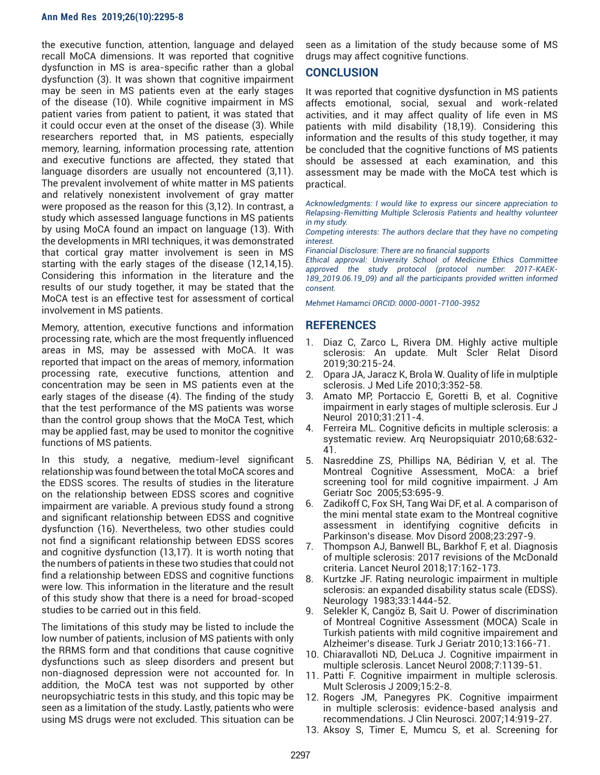#### **Ann Med Res 2019;26(10):2295-8**

the executive function, attention, language and delayed recall MoCA dimensions. It was reported that cognitive dysfunction in MS is area-specific rather than a global dysfunction (3). It was shown that cognitive impairment may be seen in MS patients even at the early stages of the disease (10). While cognitive impairment in MS patient varies from patient to patient, it was stated that it could occur even at the onset of the disease (3). While researchers reported that, in MS patients, especially memory, learning, information processing rate, attention and executive functions are affected, they stated that language disorders are usually not encountered (3,11). The prevalent involvement of white matter in MS patients and relatively nonexistent involvement of gray matter were proposed as the reason for this (3,12). In contrast, a study which assessed language functions in MS patients by using MoCA found an impact on language (13). With the developments in MRI techniques, it was demonstrated that cortical gray matter involvement is seen in MS starting with the early stages of the disease (12,14,15). Considering this information in the literature and the results of our study together, it may be stated that the MoCA test is an effective test for assessment of cortical involvement in MS patients.

Memory, attention, executive functions and information processing rate, which are the most frequently influenced areas in MS, may be assessed with MoCA. It was reported that impact on the areas of memory, information processing rate, executive functions, attention and concentration may be seen in MS patients even at the early stages of the disease (4). The finding of the study that the test performance of the MS patients was worse than the control group shows that the MoCA Test, which may be applied fast, may be used to monitor the cognitive functions of MS patients.

In this study, a negative, medium-level significant relationship was found between the total MoCA scores and the EDSS scores. The results of studies in the literature on the relationship between EDSS scores and cognitive impairment are variable. A previous study found a strong and significant relationship between EDSS and cognitive dysfunction (16). Nevertheless, two other studies could not find a significant relationship between EDSS scores and cognitive dysfunction (13,17). It is worth noting that the numbers of patients in these two studies that could not find a relationship between EDSS and cognitive functions were low. This information in the literature and the result of this study show that there is a need for broad-scoped studies to be carried out in this field.

The limitations of this study may be listed to include the low number of patients, inclusion of MS patients with only the RRMS form and that conditions that cause cognitive dysfunctions such as sleep disorders and present but non-diagnosed depression were not accounted for. In addition, the MoCA test was not supported by other neuropsychiatric tests in this study, and this topic may be seen as a limitation of the study. Lastly, patients who were using MS drugs were not excluded. This situation can be

seen as a limitation of the study because some of MS drugs may affect cognitive functions.

## **CONCLUSION**

It was reported that cognitive dysfunction in MS patients affects emotional, social, sexual and work-related activities, and it may affect quality of life even in MS patients with mild disability (18,19). Considering this information and the results of this study together, it may be concluded that the cognitive functions of MS patients should be assessed at each examination, and this assessment may be made with the MoCA test which is practical.

*Acknowledgments: I would like to express our sincere appreciation to Relapsing-Remitting Multiple Sclerosis Patients and healthy volunteer in my study.*

*Competing interests: The authors declare that they have no competing interest.* 

*Financial Disclosure: There are no financial supports* 

*Ethical approval: University School of Medicine Ethics Committee approved the study protocol (protocol number: 2017-KAEK-189\_2019.06.19\_09) and all the participants provided written informed consent.*

*Mehmet Hamamci ORCID: 0000-0001-7100-3952*

## **REFERENCES**

- 1. Diaz C, Zarco L, Rivera DM. Highly active multiple sclerosis: An update. Mult Scler Relat Disord 2019;30:215-24.
- 2. Opara JA, Jaracz K, Brola W. Quality of life in mulptiple sclerosis. J Med Life 2010;3:352-58.
- 3. Amato MP, Portaccio E, Goretti B, et al. Cognitive impairment in early stages of multiple sclerosis. Eur J Neurol 2010;31:211-4.
- 4. Ferreira ML. Cognitive deficits in multiple sclerosis: a systematic review. Arq Neuropsiquiatr 2010;68:632- 41.
- 5. Nasreddine ZS, Phillips NA, Bédirian V, et al. The Montreal Cognitive Assessment, MoCA: a brief screening tool for mild cognitive impairment. J Am Geriatr Soc 2005;53:695-9.
- 6. Zadikoff C, Fox SH, Tang Wai DF, et al. A comparison of the mini mental state exam to the Montreal cognitive assessment in identifying cognitive deficits in Parkinson's disease. Mov Disord 2008;23:297-9.
- 7. Thompson AJ, Banwell BL, Barkhof F, et al. Diagnosis of multiple sclerosis: 2017 revisions of the McDonald criteria. Lancet Neurol 2018;17:162-173.
- 8. Kurtzke JF. Rating neurologic impairment in multiple sclerosis: an expanded disability status scale (EDSS). Neurology 1983;33:1444-52.
- 9. Selekler K, Cangöz B, Sait U. Power of discrimination of Montreal Cognitive Assessment (MOCA) Scale in Turkish patients with mild cognitive impairement and Alzheimer's disease. Turk J Geriatr 2010;13:166-71.
- 10. Chiaravalloti ND, DeLuca J. Cognitive impairment in multiple sclerosis. Lancet Neurol 2008;7:1139-51.
- 11. Patti F. Cognitive impairment in multiple sclerosis. Mult Sclerosis J 2009;15:2-8.
- 12. Rogers JM, Panegyres PK. Cognitive impairment in multiple sclerosis: evidence-based analysis and recommendations. J Clin Neurosci. 2007;14:919-27.
- 13. Aksoy S, Timer E, Mumcu S, et al. Screening for